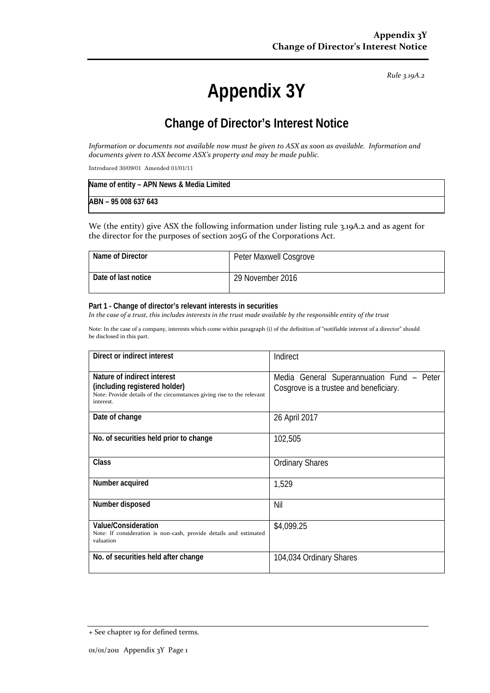*Rule 3.19A.2*

# **Appendix 3Y**

# **Change of Director's Interest Notice**

*Information or documents not available now must be given to ASX as soon as available. Information and documents given to ASX become ASX's property and may be made public.*

Introduced 30/09/01 Amended 01/01/11

| Name of entity - APN News & Media Limited |  |
|-------------------------------------------|--|
| ABN - 95 008 637 643                      |  |

We (the entity) give ASX the following information under listing rule 3.19A.2 and as agent for the director for the purposes of section 205G of the Corporations Act.

| Name of Director    | Peter Maxwell Cosgrove |
|---------------------|------------------------|
| Date of last notice | 29 November 2016       |

#### **Part 1 - Change of director's relevant interests in securities**

*In the case of a trust, this includes interests in the trust made available by the responsible entity of the trust*

Note: In the case of a company, interests which come within paragraph (i) of the definition of "notifiable interest of a director" should be disclosed in this part.

| Direct or indirect interest                                                         | Indirect                                  |
|-------------------------------------------------------------------------------------|-------------------------------------------|
| Nature of indirect interest                                                         | Media General Superannuation Fund – Peter |
|                                                                                     |                                           |
| (including registered holder)                                                       | Cosgrove is a trustee and beneficiary.    |
| Note: Provide details of the circumstances giving rise to the relevant<br>interest. |                                           |
|                                                                                     |                                           |
| Date of change                                                                      | 26 April 2017                             |
|                                                                                     |                                           |
| No. of securities held prior to change                                              | 102,505                                   |
|                                                                                     |                                           |
|                                                                                     |                                           |
| Class                                                                               | <b>Ordinary Shares</b>                    |
|                                                                                     |                                           |
| Number acquired                                                                     | 1,529                                     |
|                                                                                     |                                           |
|                                                                                     |                                           |
| Number disposed                                                                     | Nil                                       |
|                                                                                     |                                           |
| Value/Consideration                                                                 | \$4,099.25                                |
| Note: If consideration is non-cash, provide details and estimated                   |                                           |
| valuation                                                                           |                                           |
|                                                                                     |                                           |
| No. of securities held after change                                                 | 104,034 Ordinary Shares                   |
|                                                                                     |                                           |
|                                                                                     |                                           |

<sup>+</sup> See chapter 19 for defined terms.